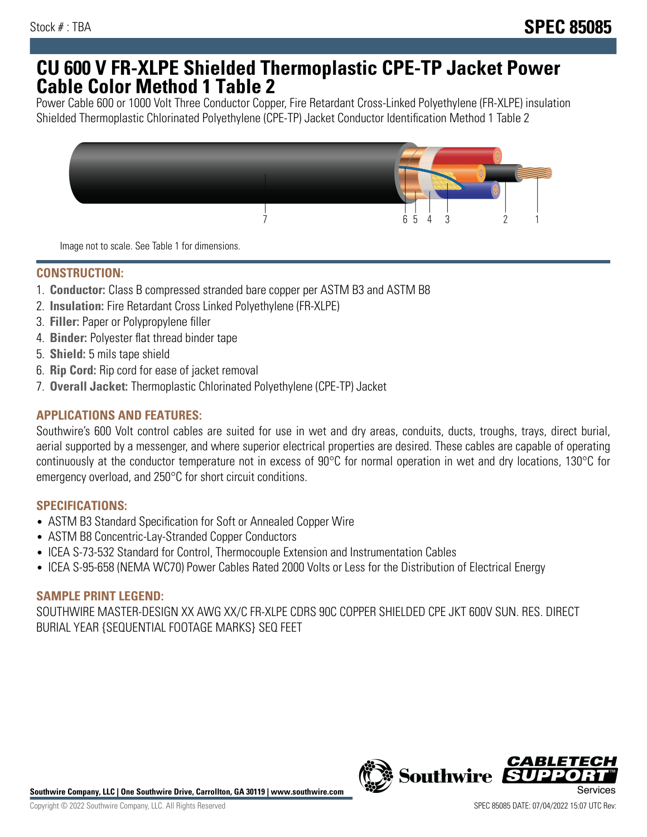## **CU 600 V FR-XLPE Shielded Thermoplastic CPE-TP Jacket Power Cable Color Method 1 Table 2**

Power Cable 600 or 1000 Volt Three Conductor Copper, Fire Retardant Cross-Linked Polyethylene (FR-XLPE) insulation Shielded Thermoplastic Chlorinated Polyethylene (CPE-TP) Jacket Conductor Identification Method 1 Table 2



Image not to scale. See Table 1 for dimensions.

## **CONSTRUCTION:**

- 1. **Conductor:** Class B compressed stranded bare copper per ASTM B3 and ASTM B8
- 2. **Insulation:** Fire Retardant Cross Linked Polyethylene (FR-XLPE)
- 3. **Filler:** Paper or Polypropylene filler
- 4. **Binder:** Polyester flat thread binder tape
- 5. **Shield:** 5 mils tape shield
- 6. **Rip Cord:** Rip cord for ease of jacket removal
- 7. **Overall Jacket:** Thermoplastic Chlorinated Polyethylene (CPE-TP) Jacket

### **APPLICATIONS AND FEATURES:**

Southwire's 600 Volt control cables are suited for use in wet and dry areas, conduits, ducts, troughs, trays, direct burial, aerial supported by a messenger, and where superior electrical properties are desired. These cables are capable of operating continuously at the conductor temperature not in excess of 90°C for normal operation in wet and dry locations, 130°C for emergency overload, and 250°C for short circuit conditions.

#### **SPECIFICATIONS:**

- ASTM B3 Standard Specification for Soft or Annealed Copper Wire
- ASTM B8 Concentric-Lay-Stranded Copper Conductors
- ICEA S-73-532 Standard for Control, Thermocouple Extension and Instrumentation Cables
- ICEA S-95-658 (NEMA WC70) Power Cables Rated 2000 Volts or Less for the Distribution of Electrical Energy

#### **SAMPLE PRINT LEGEND:**

SOUTHWIRE MASTER-DESIGN XX AWG XX/C FR-XLPE CDRS 90C COPPER SHIELDED CPE JKT 600V SUN. RES. DIRECT BURIAL YEAR {SEQUENTIAL FOOTAGE MARKS} SEQ FEET